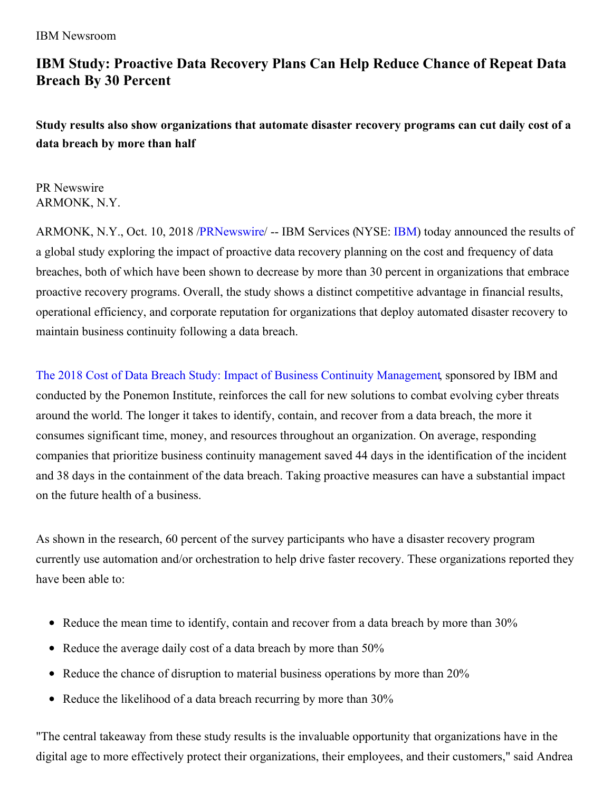## **IBM Study: Proactive Data Recovery Plans Can Help Reduce Chance of Repeat Data Breach By 30 Percent**

**Study results also show organizations that automate disaster recovery programs can cut daily cost of a data breach by more than half**

PR Newswire ARMONK, N.Y.

ARMONK, N.Y., Oct. 10, 2018 [/PRNewswire](http://www.prnewswire.com/)/ -- IBM Services (NYSE: [IBM](http://www.ibm.com/investor)) today announced the results of a global study exploring the impact of proactive data recovery planning on the cost and frequency of data breaches, both of which have been shown to decrease by more than 30 percent in organizations that embrace proactive recovery programs. Overall, the study shows a distinct competitive advantage in financial results, operational efficiency, and corporate reputation for organizations that deploy automated disaster recovery to maintain business continuity following a data breach.

The 2018 Cost of Data Breach Study: Impact of Business Continuity [Management](https://www.ibm.com/account/reg/us-en/signup?formid=urx-33253), sponsored by IBM and conducted by the Ponemon Institute, reinforces the call for new solutions to combat evolving cyber threats around the world. The longer it takes to identify, contain, and recover from a data breach, the more it consumes significant time, money, and resources throughout an organization. On average, responding companies that prioritize business continuity management saved 44 days in the identification of the incident and 38 days in the containment of the data breach. Taking proactive measures can have a substantial impact on the future health of a business.

As shown in the research, 60 percent of the survey participants who have a disaster recovery program currently use automation and/or orchestration to help drive faster recovery. These organizations reported they have been able to:

- Reduce the mean time to identify, contain and recover from a data breach by more than 30%
- Reduce the average daily cost of a data breach by more than 50%
- Reduce the chance of disruption to material business operations by more than 20%
- Reduce the likelihood of a data breach recurring by more than  $30\%$

"The central takeaway from these study results is the invaluable opportunity that organizations have in the digital age to more effectively protect their organizations, their employees, and their customers," said Andrea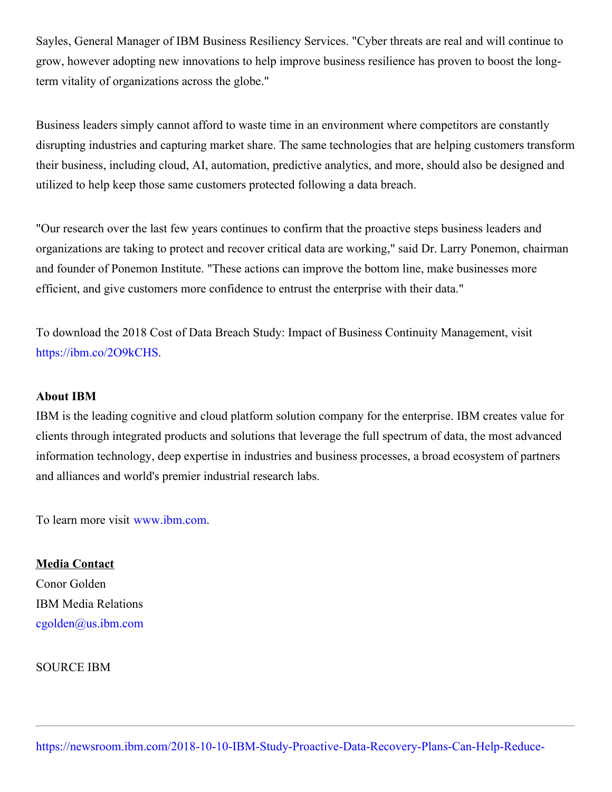Sayles, General Manager of IBM Business Resiliency Services. "Cyber threats are real and will continue to grow, however adopting new innovations to help improve business resilience has proven to boost the longterm vitality of organizations across the globe."

Business leaders simply cannot afford to waste time in an environment where competitors are constantly disrupting industries and capturing market share. The same technologies that are helping customers transform their business, including cloud, AI, automation, predictive analytics, and more, should also be designed and utilized to help keep those same customers protected following a data breach.

"Our research over the last few years continues to confirm that the proactive steps business leaders and organizations are taking to protect and recover critical data are working," said Dr. Larry Ponemon, chairman and founder of Ponemon Institute. "These actions can improve the bottom line, make businesses more efficient, and give customers more confidence to entrust the enterprise with their data."

To download the 2018 Cost of Data Breach Study: Impact of Business Continuity Management, visit <https://ibm.co/2O9kCHS>.

## **About IBM**

IBM is the leading cognitive and cloud platform solution company for the enterprise. IBM creates value for clients through integrated products and solutions that leverage the full spectrum of data, the most advanced information technology, deep expertise in industries and business processes, a broad ecosystem of partners and alliances and world's premier industrial research labs.

To learn more visit [www.ibm.com](http://www.ibm.com/).

**Media Contact** Conor Golden IBM Media Relations [cgolden@us.ibm.com](mailto:cgolden@us.ibm.com)

SOURCE IBM